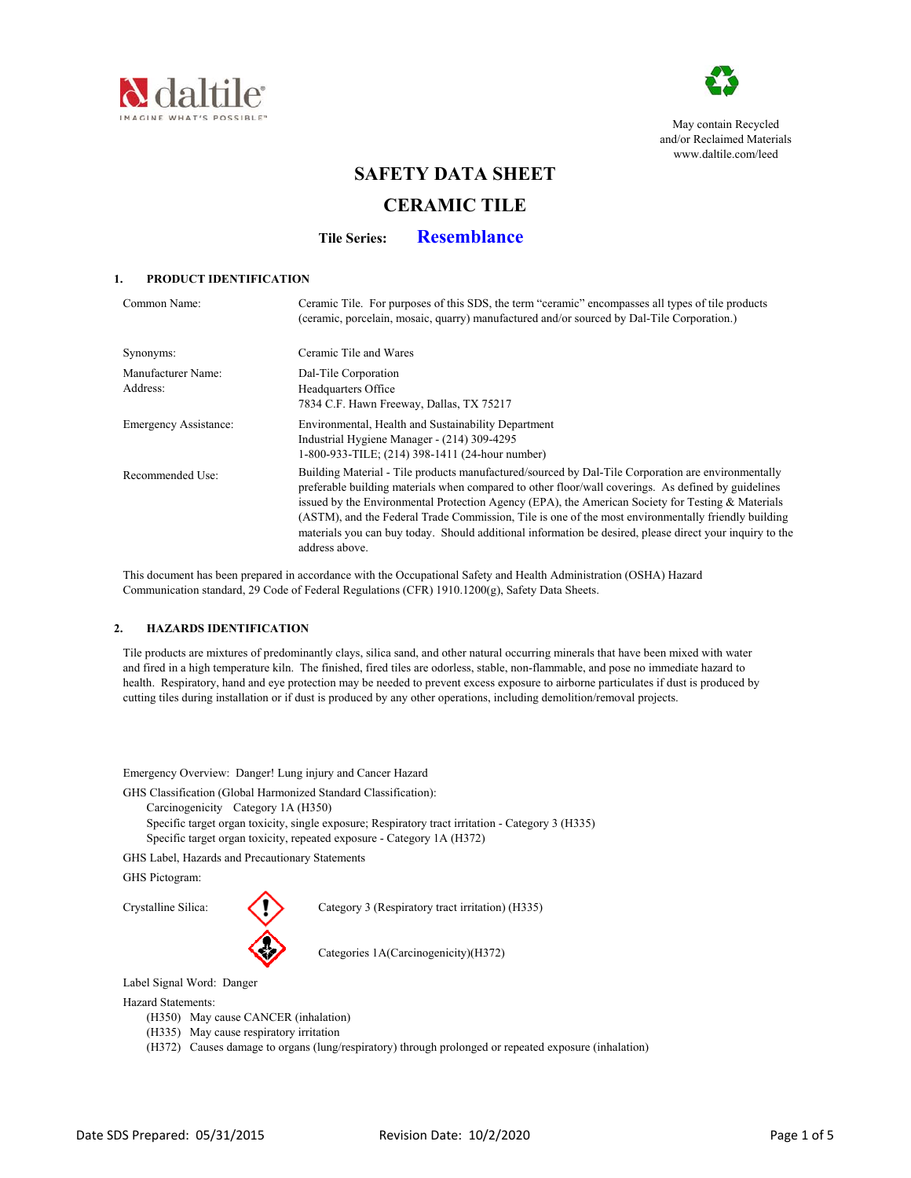



May contain Recycled and/or Reclaimed Materials www.daltile.com/leed

# **SAFETY DATA SHEET**

# **CERAMIC TILE**

**Tile Series: Resemblance**

# **1. PRODUCT IDENTIFICATION**

| Common Name:                   | Ceramic Tile. For purposes of this SDS, the term "ceramic" encompasses all types of tile products<br>(ceramic, porcelain, mosaic, quarry) manufactured and/or sourced by Dal-Tile Corporation.)                                                                                                                                                                                                                                                                                                                                                     |
|--------------------------------|-----------------------------------------------------------------------------------------------------------------------------------------------------------------------------------------------------------------------------------------------------------------------------------------------------------------------------------------------------------------------------------------------------------------------------------------------------------------------------------------------------------------------------------------------------|
| Synonyms:                      | Ceramic Tile and Wares                                                                                                                                                                                                                                                                                                                                                                                                                                                                                                                              |
| Manufacturer Name:<br>Address: | Dal-Tile Corporation<br>Headquarters Office<br>7834 C.F. Hawn Freeway, Dallas, TX 75217                                                                                                                                                                                                                                                                                                                                                                                                                                                             |
| Emergency Assistance:          | Environmental, Health and Sustainability Department<br>Industrial Hygiene Manager - (214) 309-4295<br>1-800-933-TILE; (214) 398-1411 (24-hour number)                                                                                                                                                                                                                                                                                                                                                                                               |
| Recommended Use:               | Building Material - Tile products manufactured/sourced by Dal-Tile Corporation are environmentally<br>preferable building materials when compared to other floor/wall coverings. As defined by guidelines<br>issued by the Environmental Protection Agency (EPA), the American Society for Testing & Materials<br>(ASTM), and the Federal Trade Commission, Tile is one of the most environmentally friendly building<br>materials you can buy today. Should additional information be desired, please direct your inquiry to the<br>address above. |

 This document has been prepared in accordance with the Occupational Safety and Health Administration (OSHA) Hazard Communication standard, 29 Code of Federal Regulations (CFR) 1910.1200(g), Safety Data Sheets.

### **2. HAZARDS IDENTIFICATION**

 Tile products are mixtures of predominantly clays, silica sand, and other natural occurring minerals that have been mixed with water and fired in a high temperature kiln. The finished, fired tiles are odorless, stable, non-flammable, and pose no immediate hazard to health. Respiratory, hand and eye protection may be needed to prevent excess exposure to airborne particulates if dust is produced by cutting tiles during installation or if dust is produced by any other operations, including demolition/removal projects.

Emergency Overview: Danger! Lung injury and Cancer Hazard

GHS Classification (Global Harmonized Standard Classification):

- Carcinogenicity Category 1A (H350)
- Specific target organ toxicity, single exposure; Respiratory tract irritation Category 3 (H335) Specific target organ toxicity, repeated exposure - Category 1A (H372)

GHS Label, Hazards and Precautionary Statements

GHS Pictogram:



Crystalline Silica: Category 3 (Respiratory tract irritation) (H335)

Categories 1A(Carcinogenicity)(H372)

Label Signal Word: Danger

Hazard Statements:

- (H350) May cause CANCER (inhalation)
- (H335) May cause respiratory irritation
- (H372) Causes damage to organs (lung/respiratory) through prolonged or repeated exposure (inhalation)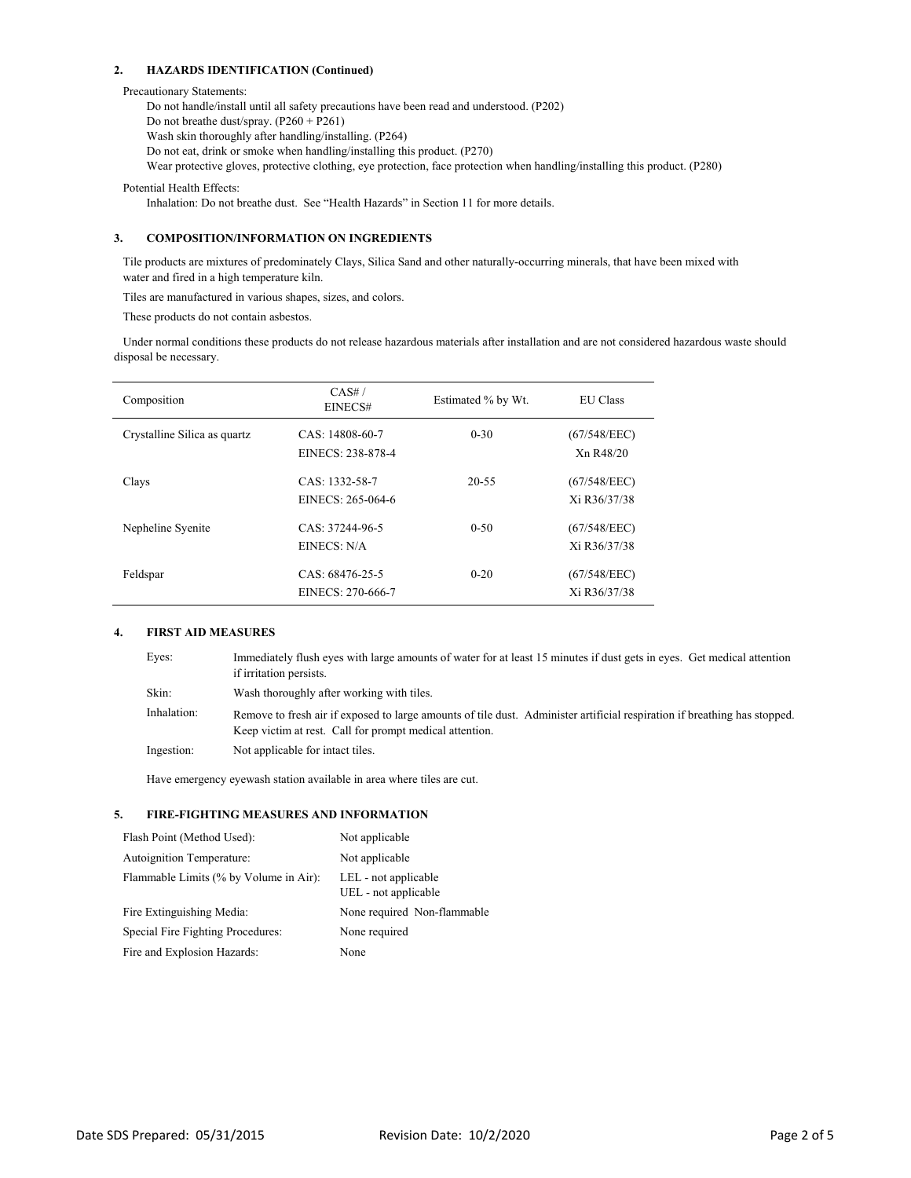#### **2. HAZARDS IDENTIFICATION (Continued)**

#### Precautionary Statements:

Do not handle/install until all safety precautions have been read and understood. (P202) Do not breathe dust/spray. (P260 + P261) Wash skin thoroughly after handling/installing. (P264) Do not eat, drink or smoke when handling/installing this product. (P270) Wear protective gloves, protective clothing, eye protection, face protection when handling/installing this product. (P280)

Potential Health Effects:

Inhalation: Do not breathe dust. See "Health Hazards" in Section 11 for more details.

# **3. COMPOSITION/INFORMATION ON INGREDIENTS**

 Tile products are mixtures of predominately Clays, Silica Sand and other naturally-occurring minerals, that have been mixed with water and fired in a high temperature kiln.

Tiles are manufactured in various shapes, sizes, and colors.

These products do not contain asbestos.

 Under normal conditions these products do not release hazardous materials after installation and are not considered hazardous waste should disposal be necessary.

| Composition                  | CAS#/<br>EINECS#                     | Estimated % by Wt. | <b>EU</b> Class                                    |
|------------------------------|--------------------------------------|--------------------|----------------------------------------------------|
| Crystalline Silica as quartz | CAS: 14808-60-7<br>EINECS: 238-878-4 | $0 - 30$           | (67/548/EEC)<br>X <sub>n</sub> R <sub>48</sub> /20 |
| Clays                        | CAS: 1332-58-7<br>EINECS: 265-064-6  | $20 - 55$          | (67/548/EEC)<br>Xi R36/37/38                       |
| Nepheline Syenite            | CAS: 37244-96-5<br>EINECS: N/A       | $0 - 50$           | (67/548/EEC)<br>Xi R36/37/38                       |
| Feldspar                     | CAS: 68476-25-5<br>EINECS: 270-666-7 | $0 - 20$           | (67/548/EEC)<br>Xi R36/37/38                       |

#### **4. FIRST AID MEASURES**

| Eyes:       | Immediately flush eyes with large amounts of water for at least 15 minutes if dust gets in eyes. Get medical attention<br>if irritation persists.                                    |
|-------------|--------------------------------------------------------------------------------------------------------------------------------------------------------------------------------------|
| Skin:       | Wash thoroughly after working with tiles.                                                                                                                                            |
| Inhalation: | Remove to fresh air if exposed to large amounts of tile dust. Administer artificial respiration if breathing has stopped.<br>Keep victim at rest. Call for prompt medical attention. |
| Ingestion:  | Not applicable for intact tiles.                                                                                                                                                     |

Have emergency eyewash station available in area where tiles are cut.

# **5. FIRE-FIGHTING MEASURES AND INFORMATION**

| Flash Point (Method Used):             | Not applicable                               |
|----------------------------------------|----------------------------------------------|
| Autoignition Temperature:              | Not applicable                               |
| Flammable Limits (% by Volume in Air): | LEL - not applicable<br>UEL - not applicable |
| Fire Extinguishing Media:              | None required Non-flammable                  |
| Special Fire Fighting Procedures:      | None required                                |
| Fire and Explosion Hazards:            | None                                         |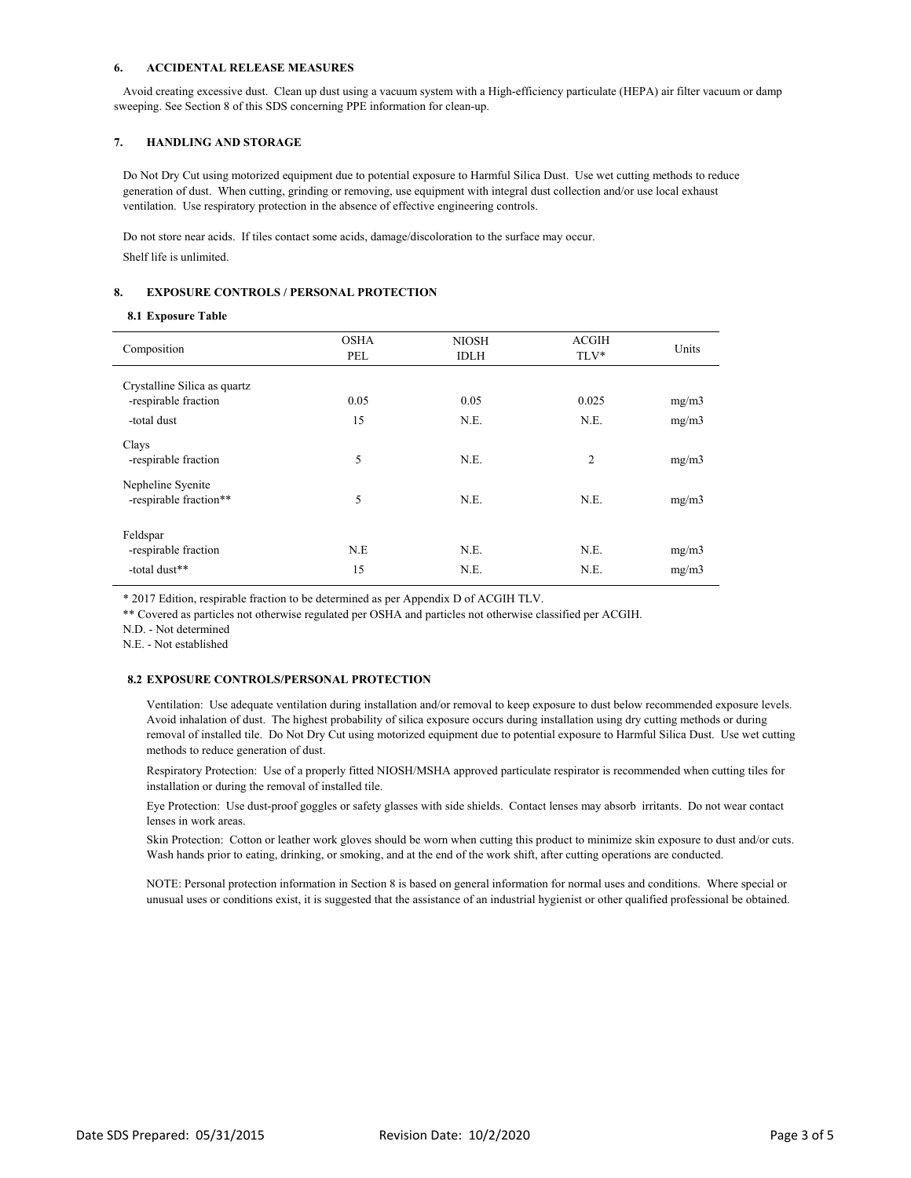#### **6. ACCIDENTAL RELEASE MEASURES**

 Avoid creating excessive dust. Clean up dust using a vacuum system with a High-efficiency particulate (HEPA) air filter vacuum or damp sweeping. See Section 8 of this SDS concerning PPE information for clean-up.

#### **7. HANDLING AND STORAGE**

 Do Not Dry Cut using motorized equipment due to potential exposure to Harmful Silica Dust. Use wet cutting methods to reduce generation of dust. When cutting, grinding or removing, use equipment with integral dust collection and/or use local exhaust ventilation. Use respiratory protection in the absence of effective engineering controls.

 Do not store near acids. If tiles contact some acids, damage/discoloration to the surface may occur. Shelf life is unlimited.

#### **8. EXPOSURE CONTROLS / PERSONAL PROTECTION**

#### **8.1 Exposure Table**

| Composition                                 | <b>OSHA</b><br>PEL | <b>NIOSH</b><br><b>IDLH</b> | <b>ACGIH</b><br>TLV* | Units |
|---------------------------------------------|--------------------|-----------------------------|----------------------|-------|
| Crystalline Silica as quartz                |                    |                             |                      |       |
| -respirable fraction                        | 0.05               | 0.05                        | 0.025                | mg/m3 |
| -total dust                                 | 15                 | N.E.                        | N.E.                 | mg/m3 |
| Clays<br>-respirable fraction               | 5                  | N.E.                        | 2                    | mg/m3 |
| Nepheline Syenite<br>-respirable fraction** | 5                  | N.E.                        | N.E.                 | mg/m3 |
| Feldspar                                    | N.E                | N.E.                        | N.E.                 |       |
| -respirable fraction                        |                    |                             |                      | mg/m3 |
| -total dust**                               | 15                 | N.E.                        | N.E.                 | mg/m3 |

\* 2017 Edition, respirable fraction to be determined as per Appendix D of ACGIH TLV.

\*\* Covered as particles not otherwise regulated per OSHA and particles not otherwise classified per ACGIH.

N.D. - Not determined

N.E. - Not established

#### **8.2 EXPOSURE CONTROLS/PERSONAL PROTECTION**

Ventilation: Use adequate ventilation during installation and/or removal to keep exposure to dust below recommended exposure levels. Avoid inhalation of dust. The highest probability of silica exposure occurs during installation using dry cutting methods or during removal of installed tile. Do Not Dry Cut using motorized equipment due to potential exposure to Harmful Silica Dust. Use wet cutting methods to reduce generation of dust.

Respiratory Protection: Use of a properly fitted NIOSH/MSHA approved particulate respirator is recommended when cutting tiles for installation or during the removal of installed tile.

Eye Protection: Use dust-proof goggles or safety glasses with side shields. Contact lenses may absorb irritants. Do not wear contact lenses in work areas.

Skin Protection: Cotton or leather work gloves should be worn when cutting this product to minimize skin exposure to dust and/or cuts. Wash hands prior to eating, drinking, or smoking, and at the end of the work shift, after cutting operations are conducted.

NOTE: Personal protection information in Section 8 is based on general information for normal uses and conditions. Where special or unusual uses or conditions exist, it is suggested that the assistance of an industrial hygienist or other qualified professional be obtained.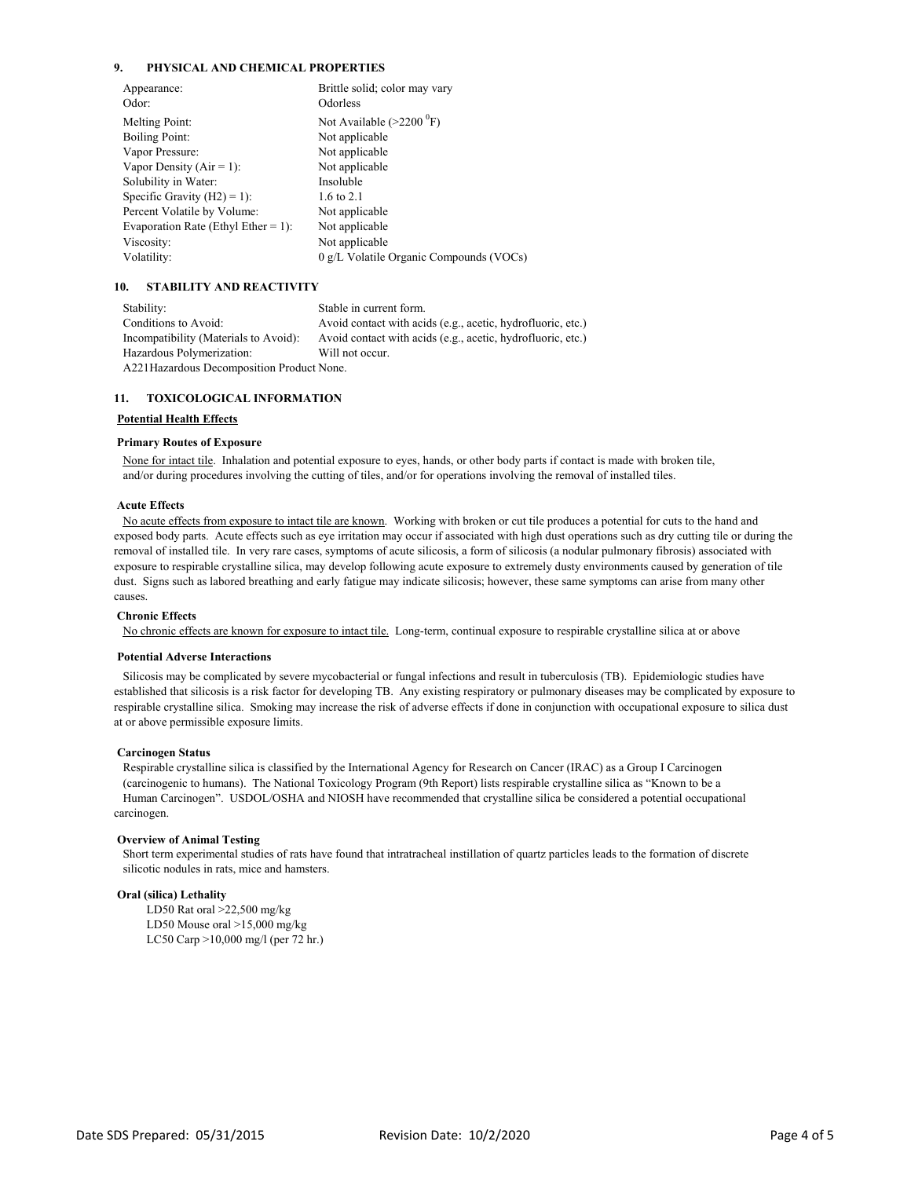#### **9. PHYSICAL AND CHEMICAL PROPERTIES**

| Appearance:                         | Brittle solid; color may vary              |
|-------------------------------------|--------------------------------------------|
| Odor:                               | Odorless                                   |
| Melting Point:                      | Not Available $(>2200 \text{ }^0\text{F})$ |
| <b>Boiling Point:</b>               | Not applicable                             |
| Vapor Pressure:                     | Not applicable                             |
| Vapor Density $(Air = 1)$ :         | Not applicable                             |
| Solubility in Water:                | Insoluble                                  |
| Specific Gravity $(H2) = 1$ :       | 1.6 to 2.1                                 |
| Percent Volatile by Volume:         | Not applicable                             |
| Evaporation Rate (Ethyl Ether = 1): | Not applicable                             |
| Viscosity:                          | Not applicable                             |
| Volatility:                         | 0 g/L Volatile Organic Compounds (VOCs)    |

#### **10. STABILITY AND REACTIVITY**

Stability: Stable in current form. Conditions to Avoid: Avoid contact with acids (e.g., acetic, hydrofluoric, etc.) Incompatibility (Materials to Avoid): Avoid contact with acids (e.g., acetic, hydrofluoric, etc.) Hazardous Polymerization: Will not occur. A221Hazardous Decomposition Product None.

#### **11. TOXICOLOGICAL INFORMATION**

#### **Potential Health Effects**

#### **Primary Routes of Exposure**

 None for intact tile. Inhalation and potential exposure to eyes, hands, or other body parts if contact is made with broken tile, and/or during procedures involving the cutting of tiles, and/or for operations involving the removal of installed tiles.

#### **Acute Effects**

 No acute effects from exposure to intact tile are known. Working with broken or cut tile produces a potential for cuts to the hand and exposed body parts. Acute effects such as eye irritation may occur if associated with high dust operations such as dry cutting tile or during the removal of installed tile. In very rare cases, symptoms of acute silicosis, a form of silicosis (a nodular pulmonary fibrosis) associated with exposure to respirable crystalline silica, may develop following acute exposure to extremely dusty environments caused by generation of tile dust. Signs such as labored breathing and early fatigue may indicate silicosis; however, these same symptoms can arise from many other causes.

#### **Chronic Effects**

No chronic effects are known for exposure to intact tile. Long-term, continual exposure to respirable crystalline silica at or above

#### **Potential Adverse Interactions**

 Silicosis may be complicated by severe mycobacterial or fungal infections and result in tuberculosis (TB). Epidemiologic studies have established that silicosis is a risk factor for developing TB. Any existing respiratory or pulmonary diseases may be complicated by exposure to respirable crystalline silica. Smoking may increase the risk of adverse effects if done in conjunction with occupational exposure to silica dust at or above permissible exposure limits.

#### **Carcinogen Status**

 Respirable crystalline silica is classified by the International Agency for Research on Cancer (IRAC) as a Group I Carcinogen (carcinogenic to humans). The National Toxicology Program (9th Report) lists respirable crystalline silica as "Known to be a Human Carcinogen". USDOL/OSHA and NIOSH have recommended that crystalline silica be considered a potential occupational carcinogen.

#### **Overview of Animal Testing**

 Short term experimental studies of rats have found that intratracheal instillation of quartz particles leads to the formation of discrete silicotic nodules in rats, mice and hamsters.

#### **Oral (silica) Lethality**

LD50 Rat oral >22,500 mg/kg LD50 Mouse oral >15,000 mg/kg LC50 Carp >10,000 mg/l (per 72 hr.)